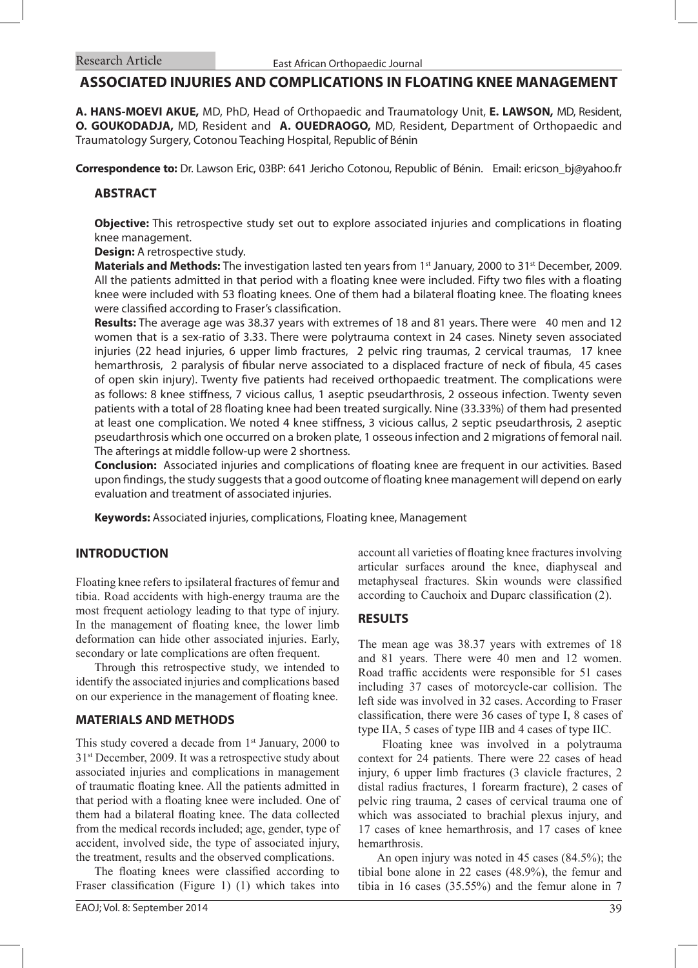# **ASSOCIATED INJURIES AND COMPLICATIONS IN FLOATING KNEE MANAGEMENT**

**A. HANS-MOEVI AKUE,** MD, PhD, Head of Orthopaedic and Traumatology Unit, **E. LAWSON,** MD, Resident, **O. GOUKODADJA,** MD, Resident and **A. OUEDRAOGO,** MD, Resident, Department of Orthopaedic and Traumatology Surgery, Cotonou Teaching Hospital, Republic of Bénin

**Correspondence to:** Dr. Lawson Eric, 03BP: 641 Jericho Cotonou, Republic of Bénin. Email: ericson\_bj@yahoo.fr

## **ABSTRACT**

**Objective:** This retrospective study set out to explore associated injuries and complications in floating knee management.

**Design:** A retrospective study.

**Materials and Methods:** The investigation lasted ten years from 1<sup>st</sup> January, 2000 to 31<sup>st</sup> December, 2009. All the patients admitted in that period with a floating knee were included. Fifty two files with a floating knee were included with 53 floating knees. One of them had a bilateral floating knee. The floating knees were classified according to Fraser's classification.

**Results:** The average age was 38.37 years with extremes of 18 and 81 years. There were 40 men and 12 women that is a sex-ratio of 3.33. There were polytrauma context in 24 cases. Ninety seven associated injuries (22 head injuries, 6 upper limb fractures, 2 pelvic ring traumas, 2 cervical traumas, 17 knee hemarthrosis, 2 paralysis of fibular nerve associated to a displaced fracture of neck of fibula, 45 cases of open skin injury). Twenty five patients had received orthopaedic treatment. The complications were as follows: 8 knee stiffness, 7 vicious callus, 1 aseptic pseudarthrosis, 2 osseous infection. Twenty seven patients with a total of 28 floating knee had been treated surgically. Nine (33.33%) of them had presented at least one complication. We noted 4 knee stiffness, 3 vicious callus, 2 septic pseudarthrosis, 2 aseptic pseudarthrosis which one occurred on a broken plate, 1 osseous infection and 2 migrations of femoral nail. The afterings at middle follow-up were 2 shortness.

**Conclusion:** Associated injuries and complications of floating knee are frequent in our activities. Based upon findings, the study suggests that a good outcome of floating knee management will depend on early evaluation and treatment of associated injuries.

**Keywords:** Associated injuries, complications, Floating knee, Management

## **INTRODUCTION**

Floating knee refers to ipsilateral fractures of femur and tibia. Road accidents with high-energy trauma are the most frequent aetiology leading to that type of injury. In the management of floating knee, the lower limb deformation can hide other associated injuries. Early, secondary or late complications are often frequent.

Through this retrospective study, we intended to identify the associated injuries and complications based on our experience in the management of floating knee.

#### **MATERIALS AND METHODS**

This study covered a decade from  $1<sup>st</sup>$  January, 2000 to 31st December, 2009. It was a retrospective study about associated injuries and complications in management of traumatic floating knee. All the patients admitted in that period with a floating knee were included. One of them had a bilateral floating knee. The data collected from the medical records included; age, gender, type of accident, involved side, the type of associated injury, the treatment, results and the observed complications.

The floating knees were classified according to Fraser classification (Figure 1) (1) which takes into account all varieties of floating knee fractures involving articular surfaces around the knee, diaphyseal and metaphyseal fractures. Skin wounds were classified according to Cauchoix and Duparc classification (2).

#### **RESULTS**

The mean age was 38.37 years with extremes of 18 and 81 years. There were 40 men and 12 women. Road traffic accidents were responsible for 51 cases including 37 cases of motorcycle-car collision. The left side was involved in 32 cases. According to Fraser classification, there were 36 cases of type I, 8 cases of type IIA, 5 cases of type IIB and 4 cases of type IIC.

 Floating knee was involved in a polytrauma context for 24 patients. There were 22 cases of head injury, 6 upper limb fractures (3 clavicle fractures, 2 distal radius fractures, 1 forearm fracture), 2 cases of pelvic ring trauma, 2 cases of cervical trauma one of which was associated to brachial plexus injury, and 17 cases of knee hemarthrosis, and 17 cases of knee hemarthrosis.

An open injury was noted in 45 cases (84.5%); the tibial bone alone in 22 cases (48.9%), the femur and tibia in 16 cases (35.55%) and the femur alone in 7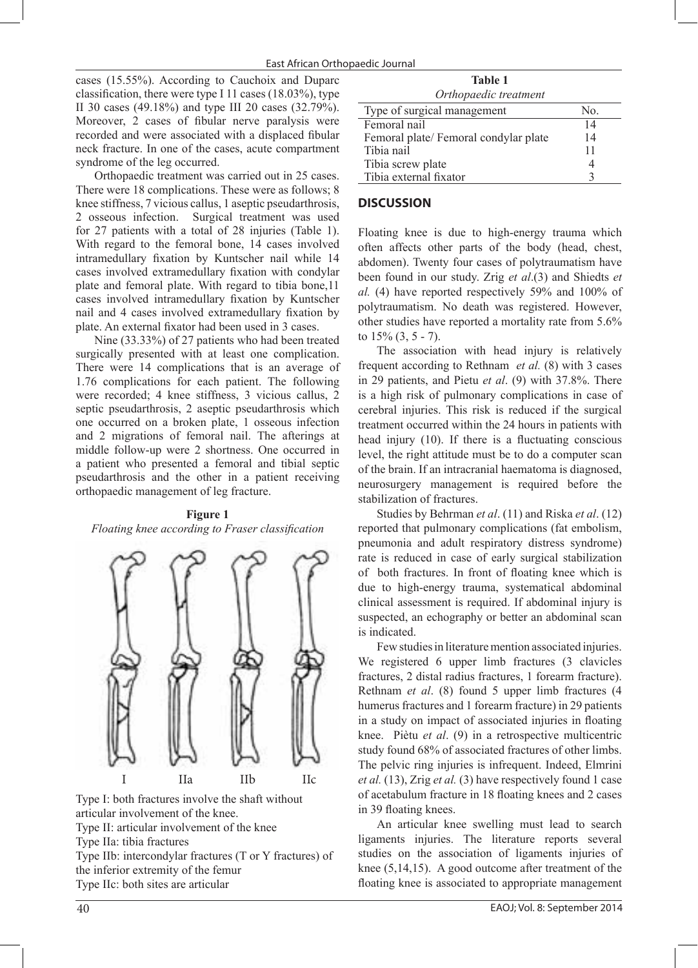cases (15.55%). According to Cauchoix and Duparc classification, there were type I 11 cases (18.03%), type II 30 cases (49.18%) and type III 20 cases (32.79%). Moreover, 2 cases of fibular nerve paralysis were recorded and were associated with a displaced fibular neck fracture. In one of the cases, acute compartment syndrome of the leg occurred.

Orthopaedic treatment was carried out in 25 cases. There were 18 complications. These were as follows; 8 knee stiffness, 7 vicious callus, 1 aseptic pseudarthrosis, 2 osseous infection. Surgical treatment was used for 27 patients with a total of 28 injuries (Table 1). With regard to the femoral bone, 14 cases involved intramedullary fixation by Kuntscher nail while 14 cases involved extramedullary fixation with condylar plate and femoral plate. With regard to tibia bone,11 cases involved intramedullary fixation by Kuntscher nail and 4 cases involved extramedullary fixation by plate. An external fixator had been used in 3 cases.

Nine (33.33%) of 27 patients who had been treated surgically presented with at least one complication. There were 14 complications that is an average of 1.76 complications for each patient. The following were recorded; 4 knee stiffness, 3 vicious callus, 2 septic pseudarthrosis, 2 aseptic pseudarthrosis which one occurred on a broken plate, 1 osseous infection and 2 migrations of femoral nail. The afterings at middle follow-up were 2 shortness. One occurred in a patient who presented a femoral and tibial septic pseudarthrosis and the other in a patient receiving orthopaedic management of leg fracture.

# **Figure 1** *Floating knee according to Fraser classification*



Type I: both fractures involve the shaft without articular involvement of the knee. Type II: articular involvement of the knee Type IIa: tibia fractures Type IIb: intercondylar fractures (T or Y fractures) of the inferior extremity of the femur

Type IIc: both sites are articular

**Table 1** *Orthopaedic treatment*

| Type of surgical management          | No. |
|--------------------------------------|-----|
| Femoral nail                         | 14  |
| Femoral plate/Femoral condylar plate | 14  |
| Tibia nail                           | 11  |
| Tibia screw plate                    |     |
| Tibia external fixator               |     |
|                                      |     |

## **DISCUSSION**

Floating knee is due to high-energy trauma which often affects other parts of the body (head, chest, abdomen). Twenty four cases of polytraumatism have been found in our study. Zrig *et al*.(3) and Shiedts *et al.* (4) have reported respectively 59% and 100% of polytraumatism. No death was registered. However, other studies have reported a mortality rate from 5.6% to  $15\%$   $(3, 5 - 7)$ .

The association with head injury is relatively frequent according to Rethnam *et al.* (8) with 3 cases in 29 patients, and Pietu *et al*. (9) with 37.8%. There is a high risk of pulmonary complications in case of cerebral injuries. This risk is reduced if the surgical treatment occurred within the 24 hours in patients with head injury (10). If there is a fluctuating conscious level, the right attitude must be to do a computer scan of the brain. If an intracranial haematoma is diagnosed, neurosurgery management is required before the stabilization of fractures.

Studies by Behrman *et al*. (11) and Riska *et al*. (12) reported that pulmonary complications (fat embolism, pneumonia and adult respiratory distress syndrome) rate is reduced in case of early surgical stabilization of both fractures. In front of floating knee which is due to high-energy trauma, systematical abdominal clinical assessment is required. If abdominal injury is suspected, an echography or better an abdominal scan is indicated.

Few studies in literature mention associated injuries. We registered 6 upper limb fractures (3 clavicles fractures, 2 distal radius fractures, 1 forearm fracture). Rethnam *et al*. (8) found 5 upper limb fractures (4 humerus fractures and 1 forearm fracture) in 29 patients in a study on impact of associated injuries in floating knee. Piètu *et al*. (9) in a retrospective multicentric study found 68% of associated fractures of other limbs. The pelvic ring injuries is infrequent. Indeed, Elmrini *et al.* (13), Zrig *et al.* (3) have respectively found 1 case of acetabulum fracture in 18 floating knees and 2 cases in 39 floating knees.

An articular knee swelling must lead to search ligaments injuries. The literature reports several studies on the association of ligaments injuries of knee (5,14,15). A good outcome after treatment of the floating knee is associated to appropriate management